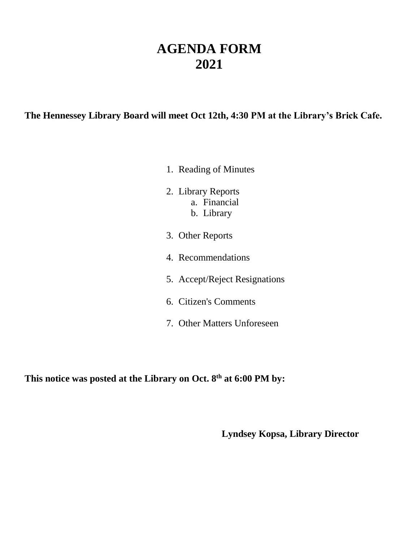## **AGENDA FORM 2021**

**The Hennessey Library Board will meet Oct 12th, 4:30 PM at the Library's Brick Cafe.**

- 1. Reading of Minutes
- 2. Library Reports a. Financial b. Library
- 3. Other Reports
- 4. Recommendations
- 5. Accept/Reject Resignations
- 6. Citizen's Comments
- 7. Other Matters Unforeseen

**This notice was posted at the Library on Oct. 8th at 6:00 PM by:**

**Lyndsey Kopsa, Library Director**